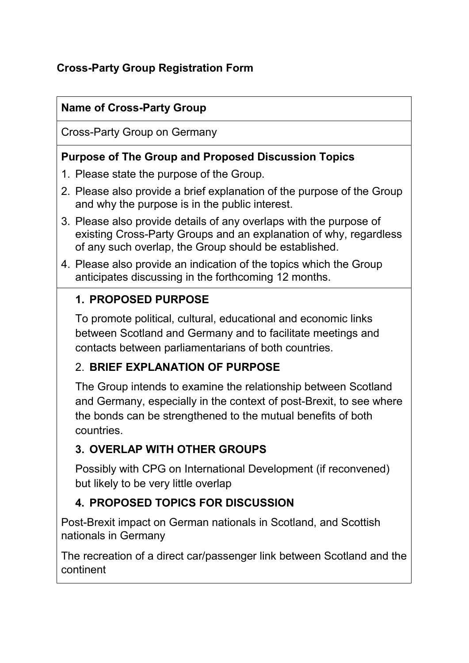# **Cross-Party Group Registration Form**

## **Name of Cross-Party Group**

Cross-Party Group on Germany

#### **Purpose of The Group and Proposed Discussion Topics**

- 1. Please state the purpose of the Group.
- 2. Please also provide a brief explanation of the purpose of the Group and why the purpose is in the public interest.
- 3. Please also provide details of any overlaps with the purpose of existing Cross-Party Groups and an explanation of why, regardless of any such overlap, the Group should be established.
- 4. Please also provide an indication of the topics which the Group anticipates discussing in the forthcoming 12 months.

## **1. PROPOSED PURPOSE**

To promote political, cultural, educational and economic links between Scotland and Germany and to facilitate meetings and contacts between parliamentarians of both countries.

#### 2. **BRIEF EXPLANATION OF PURPOSE**

The Group intends to examine the relationship between Scotland and Germany, especially in the context of post-Brexit, to see where the bonds can be strengthened to the mutual benefits of both countries.

## **3. OVERLAP WITH OTHER GROUPS**

Possibly with CPG on International Development (if reconvened) but likely to be very little overlap

# **4. PROPOSED TOPICS FOR DISCUSSION**

Post-Brexit impact on German nationals in Scotland, and Scottish nationals in Germany

The recreation of a direct car/passenger link between Scotland and the continent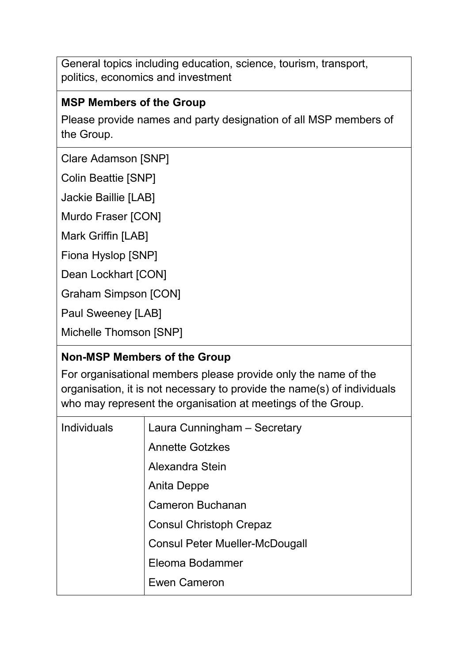General topics including education, science, tourism, transport, politics, economics and investment

## **MSP Members of the Group**

Please provide names and party designation of all MSP members of the Group.

Clare Adamson [SNP]

Colin Beattie [SNP]

Jackie Baillie [LAB]

Murdo Fraser [CON]

Mark Griffin [LAB]

Fiona Hyslop [SNP]

Dean Lockhart [CON]

Graham Simpson [CON]

Paul Sweeney [LAB]

Michelle Thomson [SNP]

#### **Non-MSP Members of the Group**

For organisational members please provide only the name of the organisation, it is not necessary to provide the name(s) of individuals who may represent the organisation at meetings of the Group.

| <b>Individuals</b> | Laura Cunningham - Secretary          |
|--------------------|---------------------------------------|
|                    | <b>Annette Gotzkes</b>                |
|                    | Alexandra Stein                       |
|                    | Anita Deppe                           |
|                    | <b>Cameron Buchanan</b>               |
|                    | <b>Consul Christoph Crepaz</b>        |
|                    | <b>Consul Peter Mueller-McDougall</b> |
|                    | Eleoma Bodammer                       |
|                    | <b>Ewen Cameron</b>                   |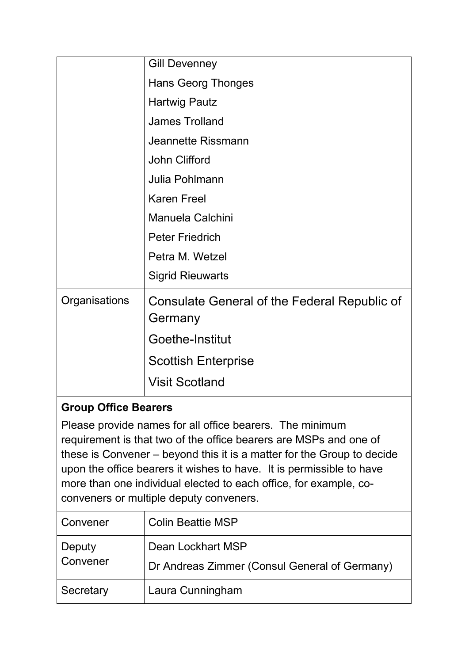|               | <b>Gill Devenney</b>                                    |
|---------------|---------------------------------------------------------|
|               | <b>Hans Georg Thonges</b>                               |
|               | <b>Hartwig Pautz</b>                                    |
|               | <b>James Trolland</b>                                   |
|               | <b>Jeannette Rissmann</b>                               |
|               | John Clifford                                           |
|               | Julia Pohlmann                                          |
|               | <b>Karen Freel</b>                                      |
|               | <b>Manuela Calchini</b>                                 |
|               | <b>Peter Friedrich</b>                                  |
|               | Petra M. Wetzel                                         |
|               | <b>Sigrid Rieuwarts</b>                                 |
| Organisations | Consulate General of the Federal Republic of<br>Germany |
|               | Goethe-Institut                                         |
|               | <b>Scottish Enterprise</b>                              |
|               | <b>Visit Scotland</b>                                   |

## **Group Office Bearers**

Please provide names for all office bearers. The minimum requirement is that two of the office bearers are MSPs and one of these is Convener – beyond this it is a matter for the Group to decide upon the office bearers it wishes to have. It is permissible to have more than one individual elected to each office, for example, coconveners or multiple deputy conveners.

| Convener           | <b>Colin Beattie MSP</b>                                           |
|--------------------|--------------------------------------------------------------------|
| Deputy<br>Convener | Dean Lockhart MSP<br>Dr Andreas Zimmer (Consul General of Germany) |
| Secretary          | Laura Cunningham                                                   |